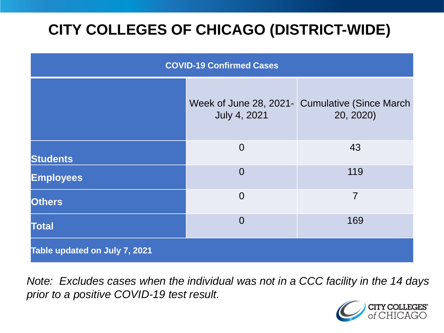# **CITY COLLEGES OF CHICAGO (DISTRICT-WIDE)**

| <b>COVID-19 Confirmed Cases</b> |                |                                                              |
|---------------------------------|----------------|--------------------------------------------------------------|
|                                 | July 4, 2021   | Week of June 28, 2021 - Cumulative (Since March<br>20, 2020) |
| <b>Students</b>                 | $\overline{0}$ | 43                                                           |
| <b>Employees</b>                | $\Omega$       | 119                                                          |
| <b>Others</b>                   | $\overline{0}$ | $\overline{7}$                                               |
| <b>Total</b>                    | $\Omega$       | 169                                                          |
| Table updated on July 7, 2021   |                |                                                              |

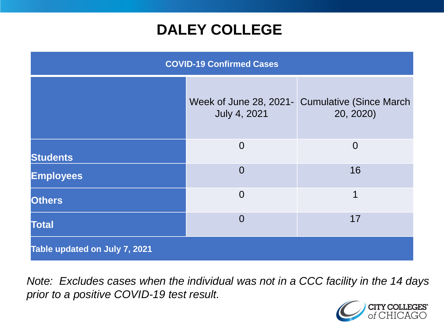# **DALEY COLLEGE**

| <b>COVID-19 Confirmed Cases</b> |                |                                                             |
|---------------------------------|----------------|-------------------------------------------------------------|
|                                 | July 4, 2021   | Week of June 28, 2021- Cumulative (Since March<br>20, 2020) |
| <b>Students</b>                 | $\overline{0}$ | $\overline{0}$                                              |
| <b>Employees</b>                | $\Omega$       | 16                                                          |
| <b>Others</b>                   | $\overline{0}$ | 1                                                           |
| <b>Total</b>                    | $\overline{0}$ | 17                                                          |
| Table updated on July 7, 2021   |                |                                                             |

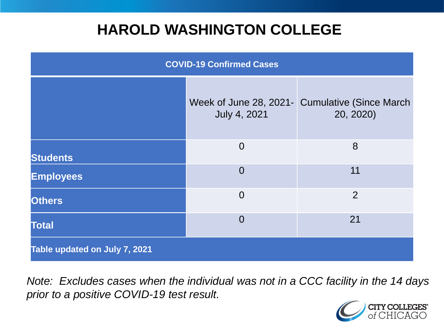# **HAROLD WASHINGTON COLLEGE**

| <b>COVID-19 Confirmed Cases</b> |                     |                                                             |
|---------------------------------|---------------------|-------------------------------------------------------------|
|                                 | <b>July 4, 2021</b> | Week of June 28, 2021- Cumulative (Since March<br>20, 2020) |
| <b>Students</b>                 | $\overline{0}$      | 8                                                           |
| <b>Employees</b>                | $\Omega$            | 11                                                          |
| <b>Others</b>                   | $\overline{0}$      | 2                                                           |
| <b>Total</b>                    | $\Omega$            | 21                                                          |
| Table updated on July 7, 2021   |                     |                                                             |

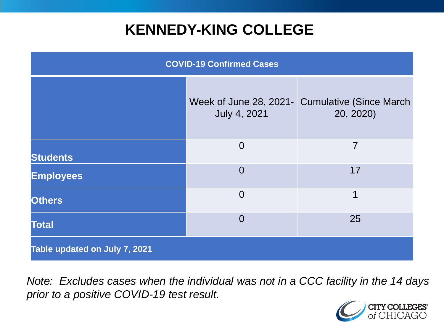# **KENNEDY-KING COLLEGE**

| <b>COVID-19 Confirmed Cases</b> |                     |                                                              |
|---------------------------------|---------------------|--------------------------------------------------------------|
|                                 | <b>July 4, 2021</b> | Week of June 28, 2021 - Cumulative (Since March<br>20, 2020) |
| <b>Students</b>                 | $\overline{0}$      | 7                                                            |
| <b>Employees</b>                | $\overline{0}$      | 17                                                           |
| <b>Others</b>                   | $\overline{0}$      | 1                                                            |
| <b>Total</b>                    | $\overline{0}$      | 25                                                           |
| Table updated on July 7, 2021   |                     |                                                              |

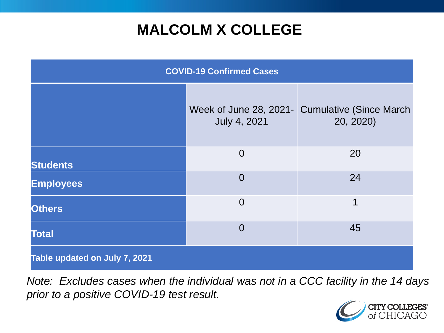# **MALCOLM X COLLEGE**

| <b>COVID-19 Confirmed Cases</b> |                     |                                                             |
|---------------------------------|---------------------|-------------------------------------------------------------|
|                                 | <b>July 4, 2021</b> | Week of June 28, 2021- Cumulative (Since March<br>20, 2020) |
| <b>Students</b>                 | $\overline{0}$      | 20                                                          |
| <b>Employees</b>                | $\overline{0}$      | 24                                                          |
| <b>Others</b>                   | $\overline{0}$      | 1                                                           |
| <b>Total</b>                    | $\overline{0}$      | 45                                                          |
| Table updated on July 7, 2021   |                     |                                                             |

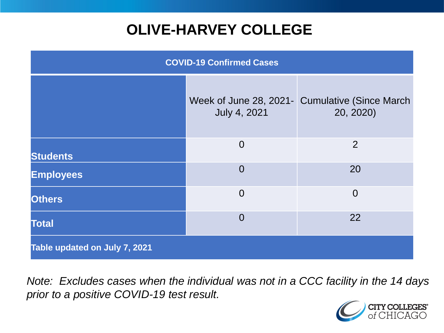# **OLIVE-HARVEY COLLEGE**

| <b>COVID-19 Confirmed Cases</b> |                                               |                                              |
|---------------------------------|-----------------------------------------------|----------------------------------------------|
|                                 | Week of June 28, 2021-<br><b>July 4, 2021</b> | <b>Cumulative (Since March)</b><br>20, 2020) |
| <b>Students</b>                 | $\overline{0}$                                | 2                                            |
| <b>Employees</b>                | $\Omega$                                      | 20                                           |
| <b>Others</b>                   | $\overline{0}$                                | $\overline{0}$                               |
| <b>Total</b>                    | $\overline{0}$                                | 22                                           |
| Table updated on July 7, 2021   |                                               |                                              |

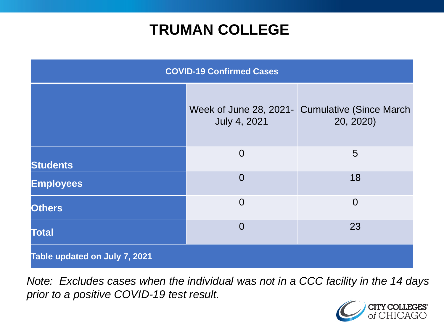# **TRUMAN COLLEGE**

| <b>COVID-19 Confirmed Cases</b> |                |                                                             |
|---------------------------------|----------------|-------------------------------------------------------------|
|                                 | July 4, 2021   | Week of June 28, 2021- Cumulative (Since March<br>20, 2020) |
| <b>Students</b>                 | $\overline{0}$ | 5                                                           |
| <b>Employees</b>                | $\overline{0}$ | 18                                                          |
| <b>Others</b>                   | $\overline{0}$ | $\overline{0}$                                              |
| <b>Total</b>                    | $\overline{0}$ | 23                                                          |
| Table updated on July 7, 2021   |                |                                                             |

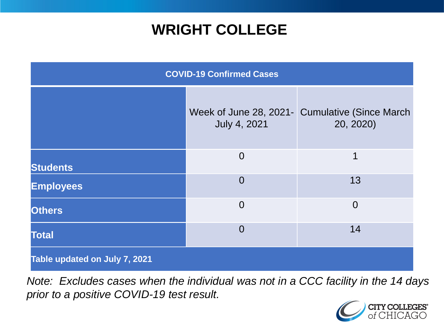# **WRIGHT COLLEGE**

| <b>COVID-19 Confirmed Cases</b> |                     |                                                             |
|---------------------------------|---------------------|-------------------------------------------------------------|
|                                 | <b>July 4, 2021</b> | Week of June 28, 2021- Cumulative (Since March<br>20, 2020) |
| <b>Students</b>                 | $\overline{0}$      | 1                                                           |
| <b>Employees</b>                | $\overline{0}$      | 13                                                          |
| <b>Others</b>                   | $\overline{0}$      | $\overline{0}$                                              |
| <b>Total</b>                    | $\overline{0}$      | 14                                                          |
| Table updated on July 7, 2021   |                     |                                                             |